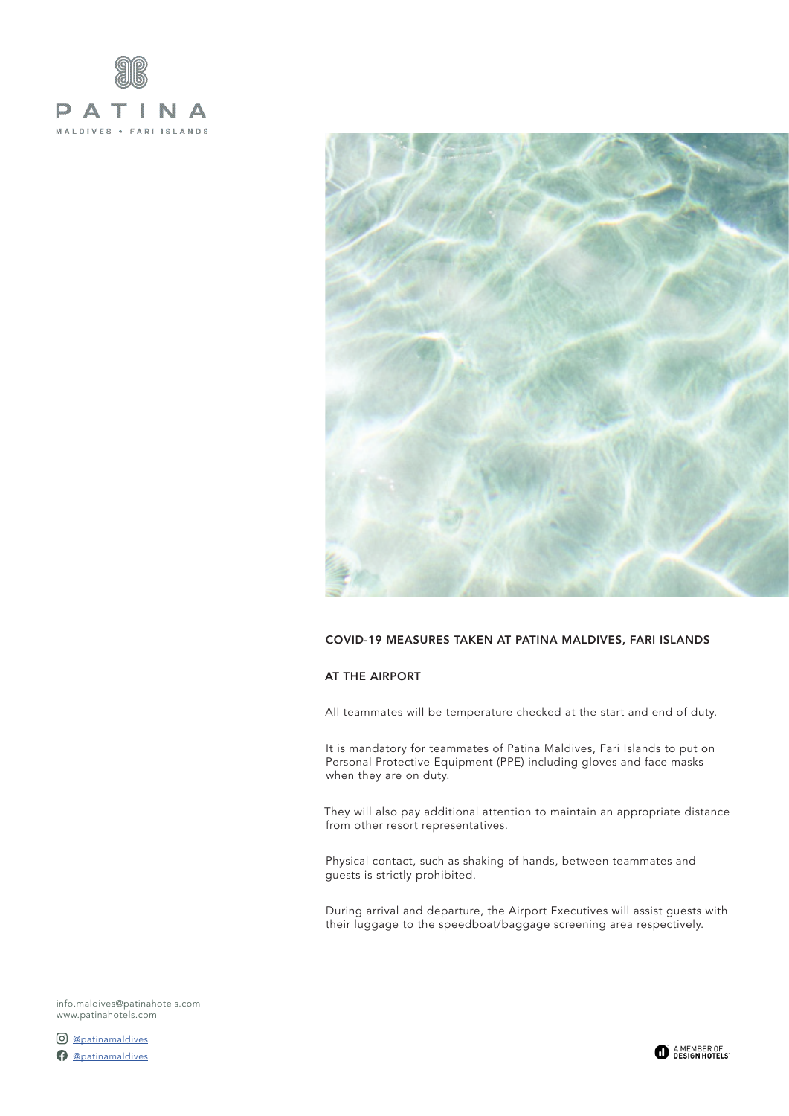



### COVID-19 MEASURES TAKEN AT PATINA MALDIVES, FARI ISLANDS

## AT THE AIRPORT

All teammates will be temperature checked at the start and end of duty.

It is mandatory for teammates of Patina Maldives, Fari Islands to put on Personal Protective Equipment (PPE) including gloves and face masks when they are on duty.

They will also pay additional attention to maintain an appropriate distance from other resort representatives.

Physical contact, such as shaking of hands, between teammates and guests is strictly prohibited.

During arrival and departure, the Airport Executives will assist guests with their luggage to the speedboat/baggage screening area respectively.

[info.maldives@patinahotels.com](mailto:info.maldives%40patinahotels.com?subject=) <www.patinahotels.com>

[@patinamaldives](https://www.instagram.com/patinamaldives/) [@patinamaldives](https://www.facebook.com/patinamaldives/)

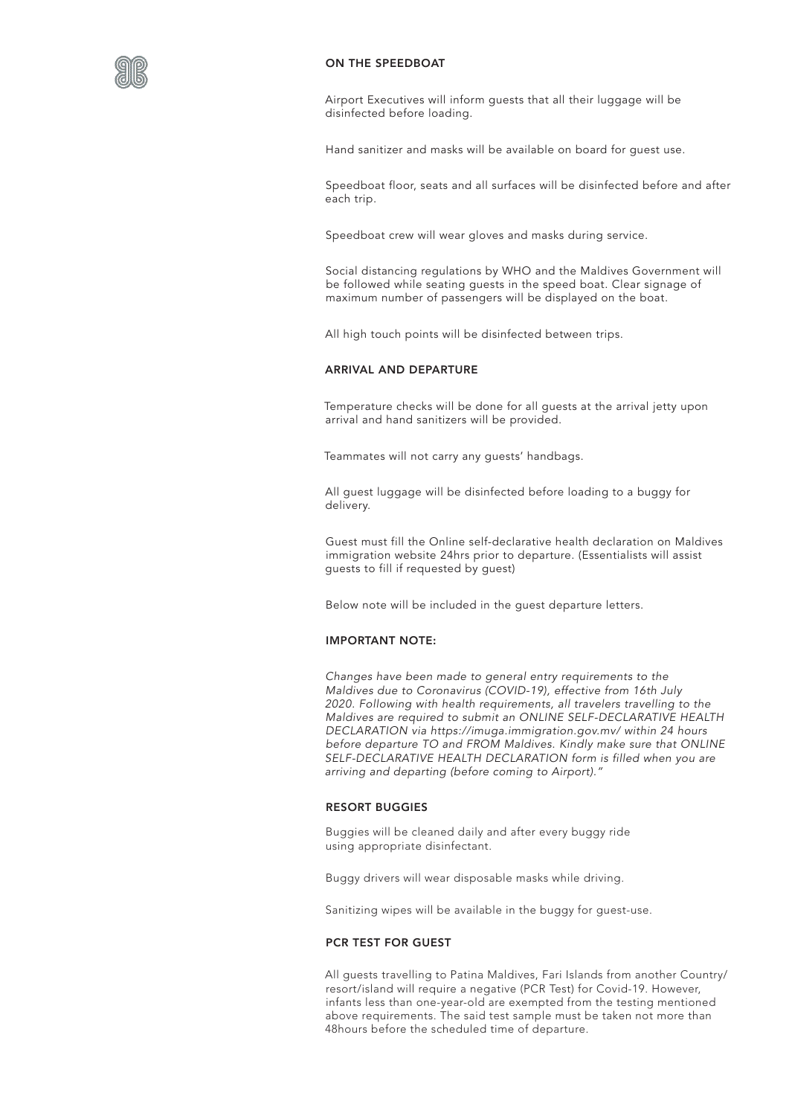

### ON THE SPEEDBOAT

Airport Executives will inform guests that all their luggage will be disinfected before loading.

Hand sanitizer and masks will be available on board for guest use.

Speedboat floor, seats and all surfaces will be disinfected before and after each trip.

Speedboat crew will wear gloves and masks during service.

Social distancing regulations by WHO and the Maldives Government will be followed while seating guests in the speed boat. Clear signage of maximum number of passengers will be displayed on the boat.

All high touch points will be disinfected between trips.

# ARRIVAL AND DEPARTURE

Temperature checks will be done for all guests at the arrival jetty upon arrival and hand sanitizers will be provided.

Teammates will not carry any guests' handbags.

All guest luggage will be disinfected before loading to a buggy for delivery.

Guest must fill the Online self-declarative health declaration on Maldives immigration website 24hrs prior to departure. (Essentialists will assist guests to fill if requested by guest)

Below note will be included in the guest departure letters.

#### IMPORTANT NOTE:

*Changes have been made to general entry requirements to the Maldives due to Coronavirus (COVID-19), effective from 16th July 2020. Following with health requirements, all travelers travelling to the Maldives are required to submit an ONLINE SELF-DECLARATIVE HEALTH DECLARATION via https://imuga.immigration.gov.mv/ within 24 hours before departure TO and FROM Maldives. Kindly make sure that ONLINE SELF-DECLARATIVE HEALTH DECLARATION form is filled when you are arriving and departing (before coming to Airport)."*

# RESORT BUGGIES

Buggies will be cleaned daily and after every buggy ride using appropriate disinfectant.

Buggy drivers will wear disposable masks while driving.

Sanitizing wipes will be available in the buggy for guest-use.

#### PCR TEST FOR GUEST

All guests travelling to Patina Maldives, Fari Islands from another Country/ resort/island will require a negative (PCR Test) for Covid-19. However, infants less than one-year-old are exempted from the testing mentioned above requirements. The said test sample must be taken not more than 48hours before the scheduled time of departure.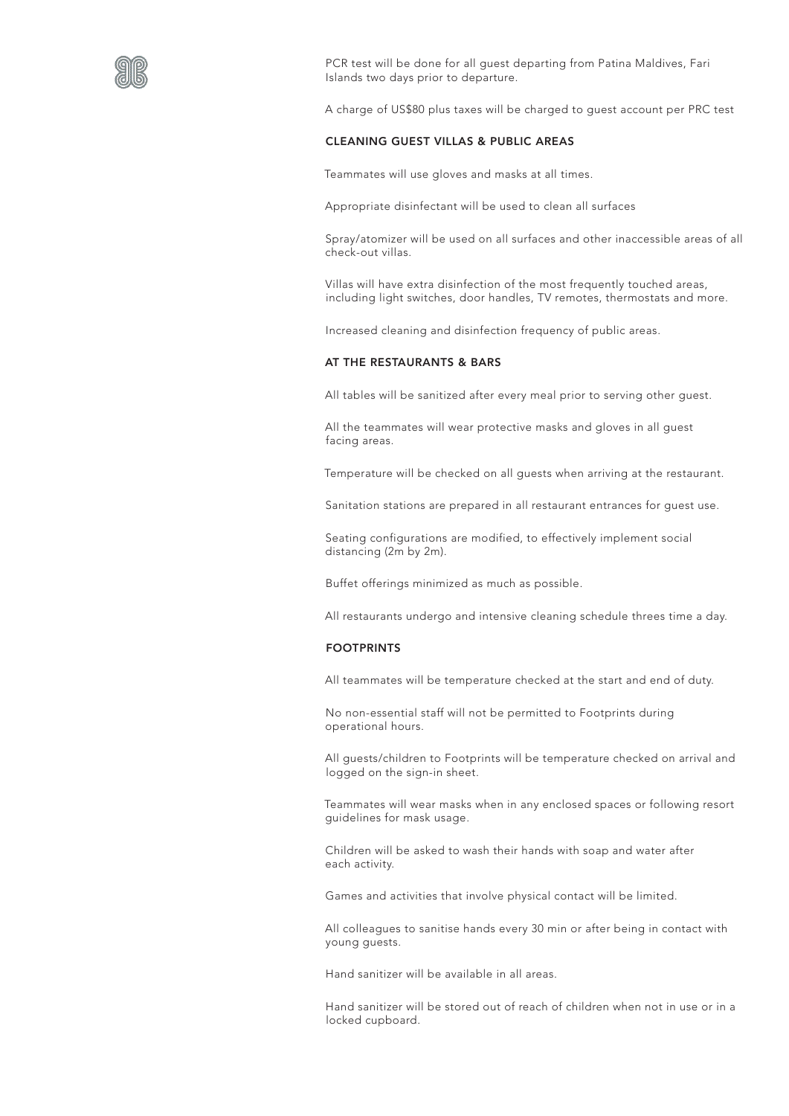

PCR test will be done for all guest departing from Patina Maldives, Fari Islands two days prior to departure.

A charge of US\$80 plus taxes will be charged to guest account per PRC test

# CLEANING GUEST VILLAS & PUBLIC AREAS

Teammates will use gloves and masks at all times.

Appropriate disinfectant will be used to clean all surfaces

Spray/atomizer will be used on all surfaces and other inaccessible areas of all check-out villas.

Villas will have extra disinfection of the most frequently touched areas, including light switches, door handles, TV remotes, thermostats and more.

Increased cleaning and disinfection frequency of public areas.

# AT THE RESTAURANTS & BARS

All tables will be sanitized after every meal prior to serving other guest.

All the teammates will wear protective masks and gloves in all guest facing areas.

Temperature will be checked on all guests when arriving at the restaurant.

Sanitation stations are prepared in all restaurant entrances for guest use.

Seating configurations are modified, to effectively implement social distancing (2m by 2m).

Buffet offerings minimized as much as possible.

All restaurants undergo and intensive cleaning schedule threes time a day.

## FOOTPRINTS

All teammates will be temperature checked at the start and end of duty.

No non-essential staff will not be permitted to Footprints during operational hours.

All guests/children to Footprints will be temperature checked on arrival and logged on the sign-in sheet.

Teammates will wear masks when in any enclosed spaces or following resort guidelines for mask usage.

Children will be asked to wash their hands with soap and water after each activity.

Games and activities that involve physical contact will be limited.

All colleagues to sanitise hands every 30 min or after being in contact with young guests.

Hand sanitizer will be available in all areas.

Hand sanitizer will be stored out of reach of children when not in use or in a locked cupboard.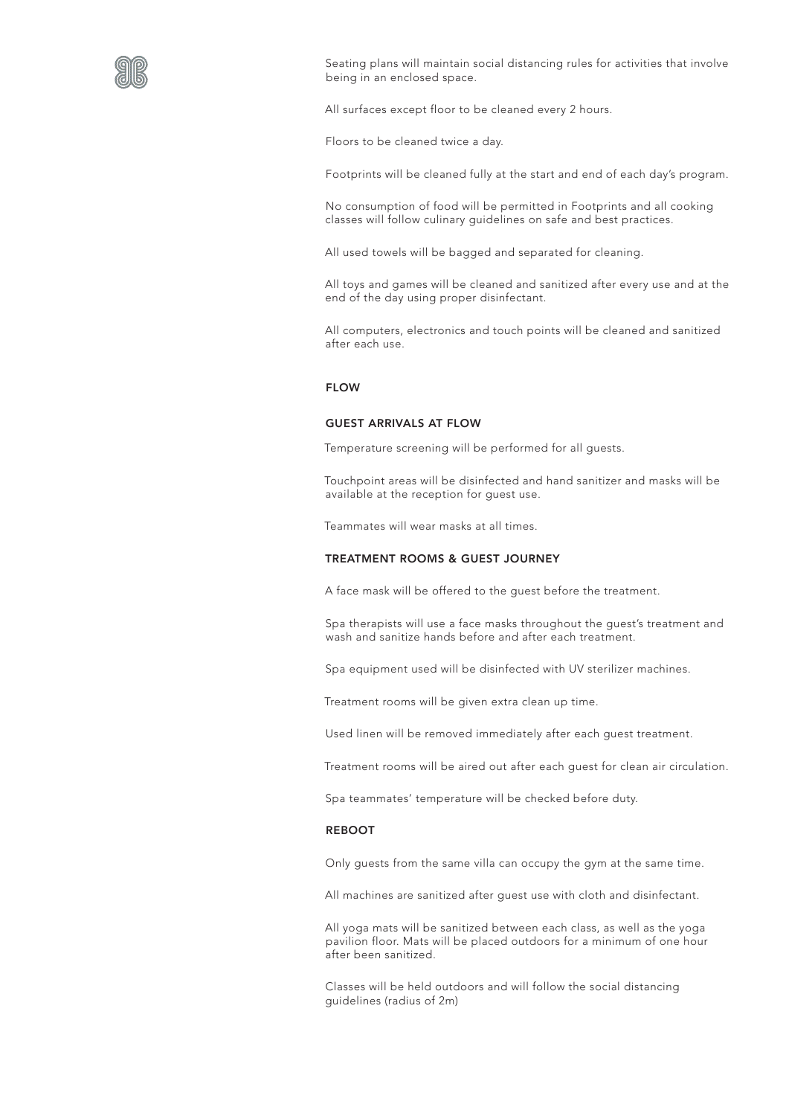

Seating plans will maintain social distancing rules for activities that involve being in an enclosed space.

All surfaces except floor to be cleaned every 2 hours.

Floors to be cleaned twice a day.

Footprints will be cleaned fully at the start and end of each day's program.

No consumption of food will be permitted in Footprints and all cooking classes will follow culinary guidelines on safe and best practices.

All used towels will be bagged and separated for cleaning.

All toys and games will be cleaned and sanitized after every use and at the end of the day using proper disinfectant.

All computers, electronics and touch points will be cleaned and sanitized after each use.

# FLOW

#### GUEST ARRIVALS AT FLOW

Temperature screening will be performed for all guests.

Touchpoint areas will be disinfected and hand sanitizer and masks will be available at the reception for guest use.

Teammates will wear masks at all times.

## TREATMENT ROOMS & GUEST JOURNEY

A face mask will be offered to the guest before the treatment.

Spa therapists will use a face masks throughout the guest's treatment and wash and sanitize hands before and after each treatment.

Spa equipment used will be disinfected with UV sterilizer machines.

Treatment rooms will be given extra clean up time.

Used linen will be removed immediately after each guest treatment.

Treatment rooms will be aired out after each guest for clean air circulation.

Spa teammates' temperature will be checked before duty.

# REBOOT

Only guests from the same villa can occupy the gym at the same time.

All machines are sanitized after guest use with cloth and disinfectant.

All yoga mats will be sanitized between each class, as well as the yoga pavilion floor. Mats will be placed outdoors for a minimum of one hour after been sanitized.

Classes will be held outdoors and will follow the social distancing guidelines (radius of 2m)